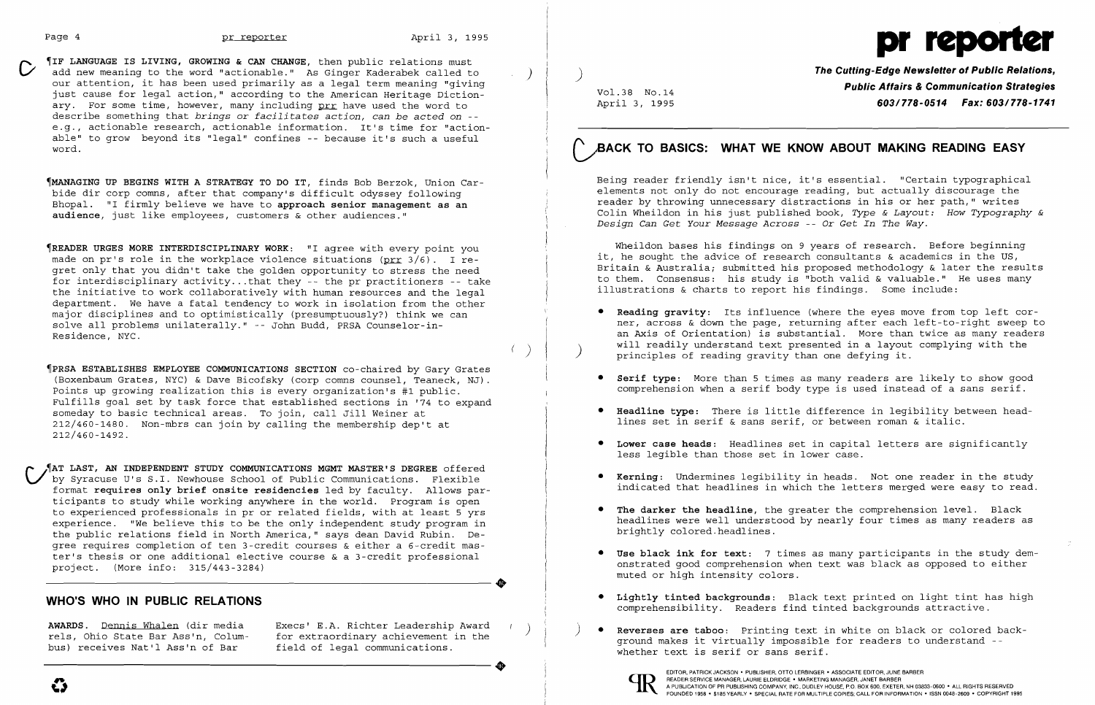$\left(\begin{array}{c} \end{array}\right)$ 

 $\frac{1}{\sqrt{2}}$ 

TIF LANGUAGE IS LIVING, GROWING & CAN CHANGE, then public relations must cadd new meaning to the word "actionable." As Ginger Kaderabek called to our attention, it has been used primarily as a legal term meaning "giving just cause for legal action," according to the American Heritage Dictionary. For some time, however, many including prr have used the word to describe something that *brings* or *facilitates action, can be acted on*  e.g., actionable research, actionable information. It's time for "actionable" to grow beyond its "legal" confines -- because it's such a useful word.

~MANAGING **UP BEGINS WITH A STRATEGY TO DO IT,** finds Bob Berzok, Union Carbide dir corp comns, after that company's difficult odyssey following Bhopal. "I firmly believe we have to **approach senior management as an audience,** just like employees, customers & other audiences."

~READER **URGES MORE INTERDISCIPLINARY WORK:** "I agree with every point you made on pr's role in the workplace violence situations (prr  $3/6$ ). I regret only that you didn't take the golden opportunity to stress the need for interdisciplinary activity... that they -- the pr practitioners -- take the initiative to work collaboratively with human resources and the legal department. We have a fatal tendency to work in isolation from the other major disciplines and to optimistically (presumptuously?) think we can solve all problems unilaterally." -- John Budd, PRSA Counselor-in-Residence, NYC.

~PRSA **ESTABLISHES EMPLOYEE COMMUNICATIONS SECTION** co-chaired by Gary Grates (Boxenbaum Grates, NYC) & Dave Bicofsky (corp comns counsel, Teaneck, NJ). Points up growing realization this is every organization's #1 public. Fulfills goal set by task force that established sections in '74 to expand someday to basic technical areas. To join, call Jill Weiner at 212/460-1480. Non-mbrs can join by calling the membership dep't at 212/460-1492.

• **Reading gravity:** Its influence (where the eyes move from top left corner, across & down the page, returning after each left-to-right sweep to an Axis of Orientation) is substantial. More than twice as many readers will readily understand text presented in a layout complying with the principles of reading gravity than one defying it.

**LAST, AN INDEPENDENT STUDY COMMUNICATIONS MGMT MASTER'S DEGREE** offered C/ by Syracuse U's S.I. Newhouse School of Public Communications. Flexible format **requires only brief onsite residencies** led by faculty. Allows participants to study while working anywhere in the world. Program is open to experienced professionals in pr or related fields, with at least 5 yrs experience. "We believe this to be the only independent study program in the public relations field in North America," says dean David Rubin. De gree requires completion of ten 3-credit courses & either a 6-credit mas ter's thesis or one additional elective course & a 3-credit professional ----------------------+ project. (More info: 315/443-3284)

## **WHO'S WHO IN PUBLIC RELATIONS**

AWARDS. <u>Dennis Whalen</u> (dir media Execs' E.A. Richter Leadership Award rels, Ohio State Bar Ass'n, Colum for extraordinary achievement in the bus) receives Nat'l Ass'n of Bar field of legal communications. field of legal communications. rels, Ohio State Bar Ass'n, Colum- for extraordinary achievement in the<br>bus) receives Nat'l Ass'n of Bar field of legal communications.

# **BACK TO BASICS: WHAT WE KNOW ABOUT MAKING READING EASY**

EDITOR, PATRICK JACKSON' PUBLISHER, OTTO LERBINGER • ASSOCIATE EDITOR, JUNE BARBER **ELAURER SERVICE MANAGER, LAURIE ELDRIDGE • MARKETING MANAGER, JANET BARBER**<br>POUNDED 1958 • \$185 YEARLY • SPECIAL RATE FOR MULTIPLE COPIES; CALL FOR INFOR



**The Cutting-Edge Newsletter of Public Relations,** ) **Public Affairs & Communication Strategies** Vol.38 No.14 April 3, 1995 **603/778-0514 Fax: 603-/778-1741** 

Being reader friendly isn't nice, it's essential. "Certain typographical elements not only do not encourage reading, but actually discourage the reader by throwing unnecessary distractions in his or her path," writes Colin Wheildon in his just published book, *Type* & *Layout: How Typography & Design Can Get Your Message Across* -- Or *Get In The Way.* 

Wheildon bases his findings on 9 years of research. Before beginning it, he sought the advice of research consultants & academics in the US, Britain & Australia; submitted his proposed methodology & later the results to them. Consensus: his study is "both valid & valuable." He uses many illustrations & charts to report his findings. Some include:

• **Serif type:** More than 5 times as many readers are likely to show good comprehension when a serif body type is used instead of a sans serif.

• **Headline type:** There is little difference in legibility between head-

• **Lower case heads:** Headlines set in capital letters are significantly

• **Kerning:** Undermines legibility in heads. Not one reader in the study indicated that headlines in which the letters merged were easy to read.

headlines were well understood by nearly four times as many readers as

- 
- 
- lines set in serif & sans serif, or between roman & italic.
- less legible than those set in lower case.
- 
- • **The darker the headline,** the greater the comprehension level. Black brightly colored.headlines.
- muted or high intensity colors.
- comprehensibility. Readers find tinted backgrounds attractive.
- ) **• Reverses are taboo:** Printing text in white on black or colored background makes it virtually impossible for readers to understand whether text is serif or sans serif.



• **Use black ink for text:** 7 times as many participants in the study demonstrated good comprehension when text was black as opposed to either

**• Lightly tinted backgrounds:** Black text printed on light tint has high